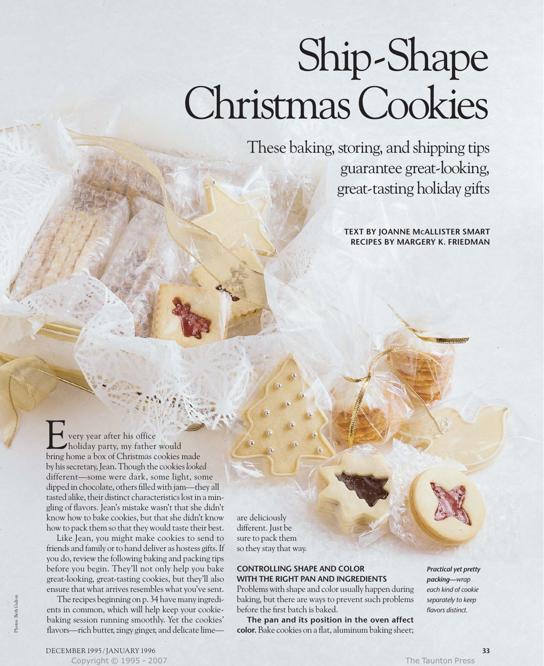# Ship-Shape Christmas Cookies

These baking, storing, and shipping tips

guarantee great-looking, great-tasting holiday gifts

**TEXT BY JOANNE MCALLISTER SMART RECIPES BY MARGERY K. FRIEDMAN**

very year after his office holiday party, my father would Let us very year after his office<br>
bring home a box of Christmas cookies made by his secretary, Jean. Though the cookies *looked* different—some were dark, some light, some dipped in chocolate, others filled with jam—they all tasted alike, their distinct characteristics lost in a mingling of flavors. Jean's mistake wasn't that she didn't know how to bake cookies, but that she didn't know how to pack them so that they would taste their best.

Like Jean, you might make cookies to send to friends and family or to hand deliver as hostess gifts. If you do, review the following baking and packing tips before you begin. They'll not only help you bake great-looking, great-tasting cookies, but they'll also ensure that what arrives resembles what you've sent.

The recipes beginning on p. 34 have many ingredients in common, which will help keep your cookiebaking session running smoothly. Yet the cookies' flavors—rich butter, zingy ginger, and delicate limeare deliciously different. Just be sure to pack them so they stay that way.

# **CONTROLLING SHAPE AND COLOR WITH THE RIGHT PAN AND INGREDIENTS**

Problems with shape and color usually happen during baking, but there are ways to prevent such problems before the first batch is baked.

**The pan and its position in the oven affect color.** Bake cookies on a flat, aluminum baking sheet;

*Practical yet pretty packing—wrap each kind of cookie separately to keep flavors distinct.*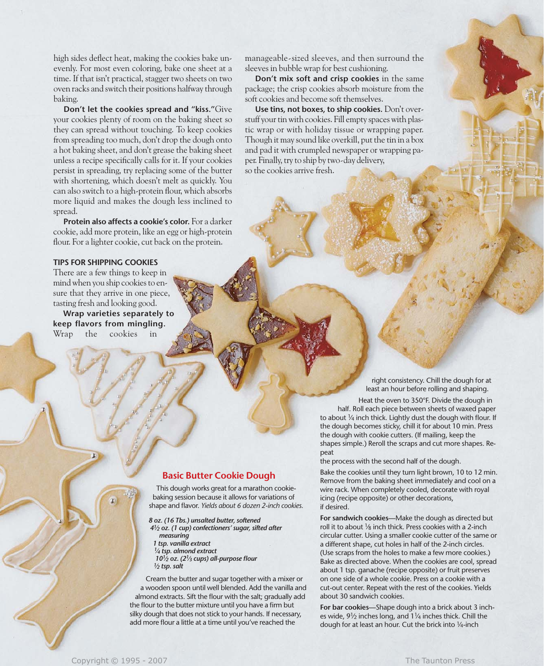high sides deflect heat, making the cookies bake unevenly. For most even coloring, bake one sheet at a time. If that isn't practical, stagger two sheets on two oven racks and switch their positions halfway through baking.

**Don't let the cookies spread and "kiss."**Give your cookies plenty of room on the baking sheet so they can spread without touching. To keep cookies from spreading too much, don't drop the dough onto a hot baking sheet, and don't grease the baking sheet unless a recipe specifically calls for it. If your cookies persist in spreading, try replacing some of the butter with shortening, which doesn't melt as quickly. You can also switch to a high-protein flour, which absorbs more liquid and makes the dough less inclined to spread.

**Protein also affects a cookie's color.** For a darker cookie, add more protein, like an egg or high-protein flour. For a lighter cookie, cut back on the protein.

### **TIPS FOR SHIPPING COOKIES**

There are a few things to keep in mind when you ship cookies to ensure that they arrive in one piece, tasting fresh and looking good.

**Wrap varieties separately to keep flavors from mingling.** Wrap the cookies in

manageable-sized sleeves, and then surround the sleeves in bubble wrap for best cushioning.

**Don't mix soft and crisp cookies** in the same package; the crisp cookies absorb moisture from the soft cookies and become soft themselves.

**Use tins, not boxes, to ship cookies.** Don't overstuff your tin with cookies. Fill empty spaces with plastic wrap or with holiday tissue or wrapping paper. Though it may sound like overkill, put the tin in a box and pad it with crumpled newspaper or wrapping paper. Finally, try to ship by two-day delivery, so the cookies arrive fresh.

> right consistency. Chill the dough for at least an hour before rolling and shaping.

Heat the oven to 350°F. Divide the dough in half. Roll each piece between sheets of waxed paper to about 1/4 inch thick. Lightly dust the dough with flour. If the dough becomes sticky, chill it for about 10 min. Press the dough with cookie cutters. (If mailing, keep the shapes simple.) Reroll the scraps and cut more shapes. Repeat

the process with the second half of the dough.

Bake the cookies until they turn light brown, 10 to 12 min. Remove from the baking sheet immediately and cool on a wire rack. When completely cooled, decorate with royal icing (recipe opposite) or other decorations, if desired.

**For sandwich cookies—**Make the dough as directed but roll it to about 1/8 inch thick. Press cookies with a 2-inch circular cutter. Using a smaller cookie cutter of the same or a different shape, cut holes in half of the 2-inch circles. (Use scraps from the holes to make a few more cookies.) Bake as directed above. When the cookies are cool, spread about 1 tsp. ganache (recipe opposite) or fruit preserves on one side of a whole cookie. Press on a cookie with a cut-out center. Repeat with the rest of the cookies. Yields about 30 sandwich cookies.

**For bar cookies—**Shape dough into a brick about 3 inches wide,  $9\frac{1}{2}$  inches long, and  $1\frac{1}{4}$  inches thick. Chill the dough for at least an hour. Cut the brick into 1⁄4-inch

# **Basic Butter Cookie Dough**

This dough works great for a marathon cookiebaking session because it allows for variations of shape and flavor. *Yields about 6 dozen 2-inch cookies.* 

*8 oz. (16 Tbs.) unsalted butter, softened*

- *41⁄2 oz. (1 cup) confectioners' sugar, sifted after measuring*
- *1 tsp. vanilla extract*
- *1⁄4 tsp. almond extract 101⁄2 oz. (21⁄3 cups) all-purpose flour*
- *1⁄2 tsp. salt*

Cream the butter and sugar together with a mixer or a wooden spoon until well blended. Add the vanilla and almond extracts. Sift the flour with the salt; gradually add the flour to the butter mixture until you have a firm but silky dough that does not stick to your hands. If necessary, add more flour a little at a time until you've reached the